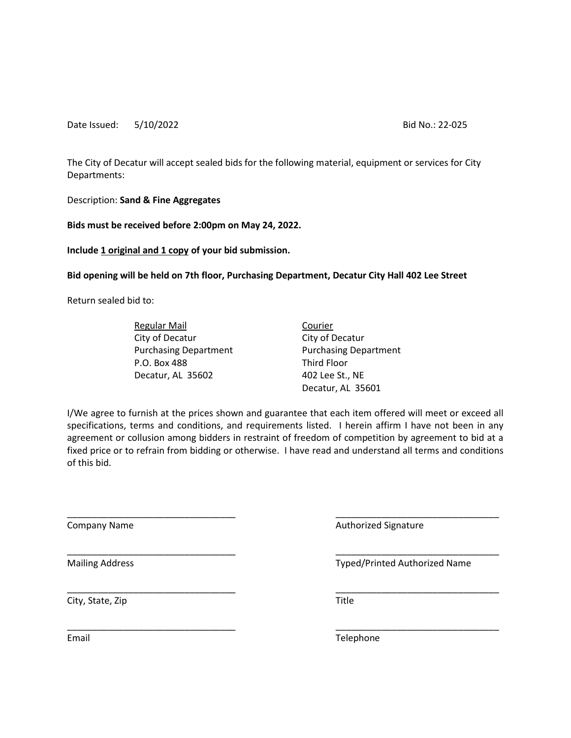The City of Decatur will accept sealed bids for the following material, equipment or services for City Departments:

Description: **Sand & Fine Aggregates**

**Bids must be received before 2:00pm on May 24, 2022.** 

**Include 1 original and 1 copy of your bid submission.**

**Bid opening will be held on 7th floor, Purchasing Department, Decatur City Hall 402 Lee Street**

Return sealed bid to:

Regular Mail **Courier** City of Decatur City of Decatur P.O. Box 488 Third Floor Decatur, AL 35602 402 Lee St., NE

Purchasing Department Purchasing Department Decatur, AL 35601

I/We agree to furnish at the prices shown and guarantee that each item offered will meet or exceed all specifications, terms and conditions, and requirements listed. I herein affirm I have not been in any agreement or collusion among bidders in restraint of freedom of competition by agreement to bid at a fixed price or to refrain from bidding or otherwise. I have read and understand all terms and conditions of this bid.

\_\_\_\_\_\_\_\_\_\_\_\_\_\_\_\_\_\_\_\_\_\_\_\_\_\_\_\_\_\_\_\_\_ \_\_\_\_\_\_\_\_\_\_\_\_\_\_\_\_\_\_\_\_\_\_\_\_\_\_\_\_\_\_\_\_

\_\_\_\_\_\_\_\_\_\_\_\_\_\_\_\_\_\_\_\_\_\_\_\_\_\_\_\_\_\_\_\_\_ \_\_\_\_\_\_\_\_\_\_\_\_\_\_\_\_\_\_\_\_\_\_\_\_\_\_\_\_\_\_\_\_

\_\_\_\_\_\_\_\_\_\_\_\_\_\_\_\_\_\_\_\_\_\_\_\_\_\_\_\_\_\_\_\_\_ \_\_\_\_\_\_\_\_\_\_\_\_\_\_\_\_\_\_\_\_\_\_\_\_\_\_\_\_\_\_\_\_

\_\_\_\_\_\_\_\_\_\_\_\_\_\_\_\_\_\_\_\_\_\_\_\_\_\_\_\_\_\_\_\_\_ \_\_\_\_\_\_\_\_\_\_\_\_\_\_\_\_\_\_\_\_\_\_\_\_\_\_\_\_\_\_\_\_

City, State, Zip Title

Company Name **Authorized Signature** Authorized Signature

Mailing Address **Typed/Printed Authorized Name** 

Email **Email Email Email Email**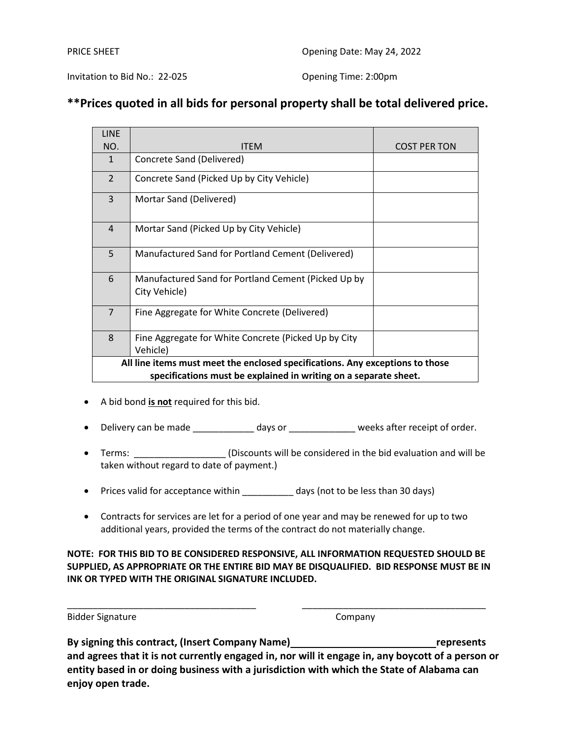Invitation to Bid No.: 22-025 Opening Time: 2:00pm

## **\*\*Prices quoted in all bids for personal property shall be total delivered price.**

| <b>LINE</b>                                                                   |                                                                      |                     |  |  |
|-------------------------------------------------------------------------------|----------------------------------------------------------------------|---------------------|--|--|
| NO.                                                                           | ITEM                                                                 | <b>COST PER TON</b> |  |  |
| $\mathbf{1}$                                                                  | Concrete Sand (Delivered)                                            |                     |  |  |
| $\overline{2}$                                                                | Concrete Sand (Picked Up by City Vehicle)                            |                     |  |  |
| 3                                                                             | Mortar Sand (Delivered)                                              |                     |  |  |
| $\overline{4}$                                                                | Mortar Sand (Picked Up by City Vehicle)                              |                     |  |  |
| 5                                                                             | Manufactured Sand for Portland Cement (Delivered)                    |                     |  |  |
| 6                                                                             | Manufactured Sand for Portland Cement (Picked Up by<br>City Vehicle) |                     |  |  |
| $\overline{7}$                                                                | Fine Aggregate for White Concrete (Delivered)                        |                     |  |  |
| 8                                                                             | Fine Aggregate for White Concrete (Picked Up by City<br>Vehicle)     |                     |  |  |
| All line items must meet the enclosed specifications. Any exceptions to those |                                                                      |                     |  |  |
| specifications must be explained in writing on a separate sheet.              |                                                                      |                     |  |  |

- A bid bond **is not** required for this bid.
- Delivery can be made \_\_\_\_\_\_\_\_\_\_\_\_\_ days or \_\_\_\_\_\_\_\_\_\_\_\_\_\_ weeks after receipt of order.
- Terms: \_\_\_\_\_\_\_\_\_\_\_\_\_\_\_\_\_\_\_(Discounts will be considered in the bid evaluation and will be taken without regard to date of payment.)
- Prices valid for acceptance within days (not to be less than 30 days)
- Contracts for services are let for a period of one year and may be renewed for up to two additional years, provided the terms of the contract do not materially change.

**NOTE: FOR THIS BID TO BE CONSIDERED RESPONSIVE, ALL INFORMATION REQUESTED SHOULD BE SUPPLIED, AS APPROPRIATE OR THE ENTIRE BID MAY BE DISQUALIFIED. BID RESPONSE MUST BE IN INK OR TYPED WITH THE ORIGINAL SIGNATURE INCLUDED.**

\_\_\_\_\_\_\_\_\_\_\_\_\_\_\_\_\_\_\_\_\_\_\_\_\_\_\_\_\_\_\_\_\_\_\_\_\_ \_\_\_\_\_\_\_\_\_\_\_\_\_\_\_\_\_\_\_\_\_\_\_\_\_\_\_\_\_\_\_\_\_\_\_\_

|  | <b>Bidder Signature</b> |
|--|-------------------------|
|--|-------------------------|

Company

**By signing this contract, (Insert Company Name) represents and agrees that it is not currently engaged in, nor will it engage in, any boycott of a person or entity based in or doing business with a jurisdiction with which the State of Alabama can enjoy open trade.**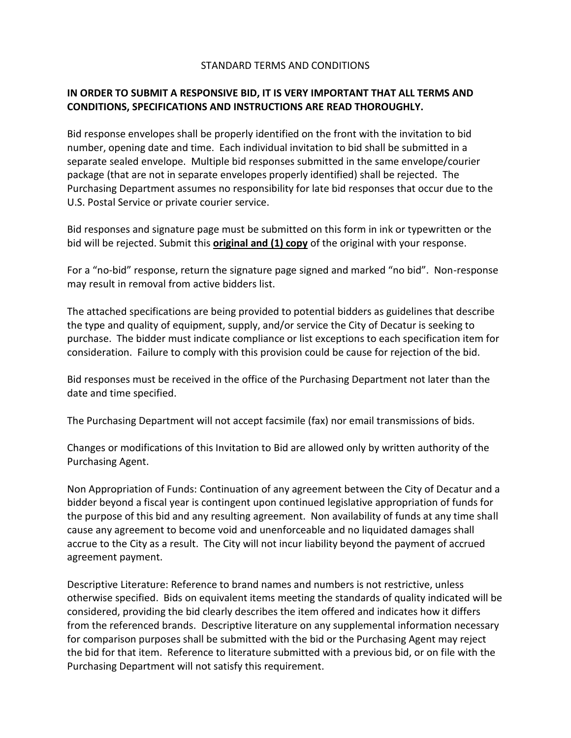### STANDARD TERMS AND CONDITIONS

## **IN ORDER TO SUBMIT A RESPONSIVE BID, IT IS VERY IMPORTANT THAT ALL TERMS AND CONDITIONS, SPECIFICATIONS AND INSTRUCTIONS ARE READ THOROUGHLY.**

Bid response envelopes shall be properly identified on the front with the invitation to bid number, opening date and time. Each individual invitation to bid shall be submitted in a separate sealed envelope. Multiple bid responses submitted in the same envelope/courier package (that are not in separate envelopes properly identified) shall be rejected. The Purchasing Department assumes no responsibility for late bid responses that occur due to the U.S. Postal Service or private courier service.

Bid responses and signature page must be submitted on this form in ink or typewritten or the bid will be rejected. Submit this **original and (1) copy** of the original with your response.

For a "no-bid" response, return the signature page signed and marked "no bid". Non-response may result in removal from active bidders list.

The attached specifications are being provided to potential bidders as guidelines that describe the type and quality of equipment, supply, and/or service the City of Decatur is seeking to purchase. The bidder must indicate compliance or list exceptions to each specification item for consideration. Failure to comply with this provision could be cause for rejection of the bid.

Bid responses must be received in the office of the Purchasing Department not later than the date and time specified.

The Purchasing Department will not accept facsimile (fax) nor email transmissions of bids.

Changes or modifications of this Invitation to Bid are allowed only by written authority of the Purchasing Agent.

Non Appropriation of Funds: Continuation of any agreement between the City of Decatur and a bidder beyond a fiscal year is contingent upon continued legislative appropriation of funds for the purpose of this bid and any resulting agreement. Non availability of funds at any time shall cause any agreement to become void and unenforceable and no liquidated damages shall accrue to the City as a result. The City will not incur liability beyond the payment of accrued agreement payment.

Descriptive Literature: Reference to brand names and numbers is not restrictive, unless otherwise specified. Bids on equivalent items meeting the standards of quality indicated will be considered, providing the bid clearly describes the item offered and indicates how it differs from the referenced brands. Descriptive literature on any supplemental information necessary for comparison purposes shall be submitted with the bid or the Purchasing Agent may reject the bid for that item. Reference to literature submitted with a previous bid, or on file with the Purchasing Department will not satisfy this requirement.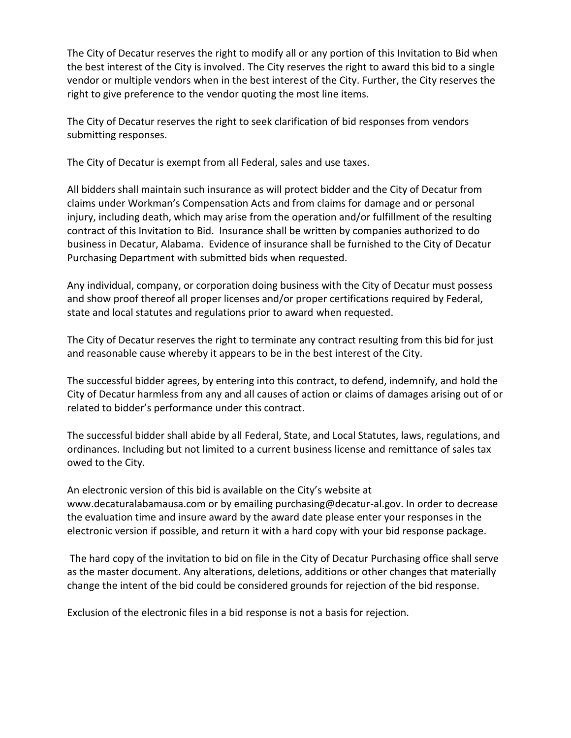The City of Decatur reserves the right to modify all or any portion of this Invitation to Bid when the best interest of the City is involved. The City reserves the right to award this bid to a single vendor or multiple vendors when in the best interest of the City. Further, the City reserves the right to give preference to the vendor quoting the most line items.

The City of Decatur reserves the right to seek clarification of bid responses from vendors submitting responses.

The City of Decatur is exempt from all Federal, sales and use taxes.

All bidders shall maintain such insurance as will protect bidder and the City of Decatur from claims under Workman's Compensation Acts and from claims for damage and or personal injury, including death, which may arise from the operation and/or fulfillment of the resulting contract of this Invitation to Bid. Insurance shall be written by companies authorized to do business in Decatur, Alabama. Evidence of insurance shall be furnished to the City of Decatur Purchasing Department with submitted bids when requested.

Any individual, company, or corporation doing business with the City of Decatur must possess and show proof thereof all proper licenses and/or proper certifications required by Federal, state and local statutes and regulations prior to award when requested.

The City of Decatur reserves the right to terminate any contract resulting from this bid for just and reasonable cause whereby it appears to be in the best interest of the City.

The successful bidder agrees, by entering into this contract, to defend, indemnify, and hold the City of Decatur harmless from any and all causes of action or claims of damages arising out of or related to bidder's performance under this contract.

The successful bidder shall abide by all Federal, State, and Local Statutes, laws, regulations, and ordinances. Including but not limited to a current business license and remittance of sales tax owed to the City.

An electronic version of this bid is available on the City's website at www.decaturalabamausa.com or by emailing purchasing@decatur-al.gov. In order to decrease the evaluation time and insure award by the award date please enter your responses in the electronic version if possible, and return it with a hard copy with your bid response package.

The hard copy of the invitation to bid on file in the City of Decatur Purchasing office shall serve as the master document. Any alterations, deletions, additions or other changes that materially change the intent of the bid could be considered grounds for rejection of the bid response.

Exclusion of the electronic files in a bid response is not a basis for rejection.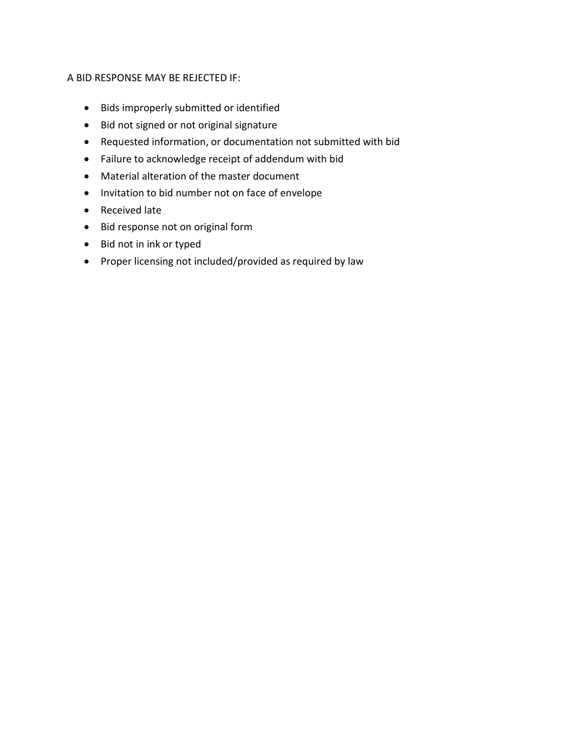### A BID RESPONSE MAY BE REJECTED IF:

- Bids improperly submitted or identified
- Bid not signed or not original signature
- Requested information, or documentation not submitted with bid
- Failure to acknowledge receipt of addendum with bid
- Material alteration of the master document
- Invitation to bid number not on face of envelope
- Received late
- Bid response not on original form
- Bid not in ink or typed
- Proper licensing not included/provided as required by law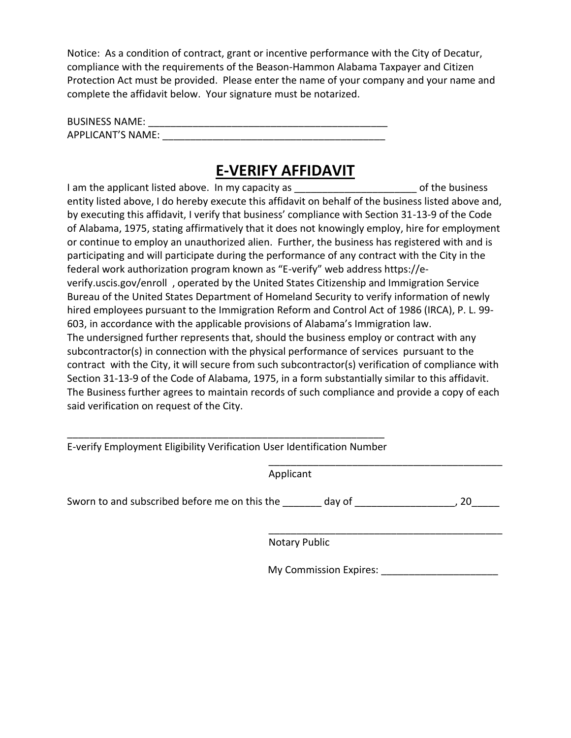Notice: As a condition of contract, grant or incentive performance with the City of Decatur, compliance with the requirements of the Beason-Hammon Alabama Taxpayer and Citizen Protection Act must be provided. Please enter the name of your company and your name and complete the affidavit below. Your signature must be notarized.

| <b>BUSINESS NAME:</b>    |  |
|--------------------------|--|
| <b>APPLICANT'S NAME:</b> |  |

# **E-VERIFY AFFIDAVIT**

I am the applicant listed above. In my capacity as **Example 20** Section 1 am the business entity listed above, I do hereby execute this affidavit on behalf of the business listed above and, by executing this affidavit, I verify that business' compliance with Section 31-13-9 of the Code of Alabama, 1975, stating affirmatively that it does not knowingly employ, hire for employment or continue to employ an unauthorized alien. Further, the business has registered with and is participating and will participate during the performance of any contract with the City in the federal work authorization program known as "E-verify" web address https://everify.uscis.gov/enroll , operated by the United States Citizenship and Immigration Service Bureau of the United States Department of Homeland Security to verify information of newly hired employees pursuant to the Immigration Reform and Control Act of 1986 (IRCA), P. L. 99- 603, in accordance with the applicable provisions of Alabama's Immigration law. The undersigned further represents that, should the business employ or contract with any subcontractor(s) in connection with the physical performance of services pursuant to the contract with the City, it will secure from such subcontractor(s) verification of compliance with Section 31-13-9 of the Code of Alabama, 1975, in a form substantially similar to this affidavit. The Business further agrees to maintain records of such compliance and provide a copy of each said verification on request of the City.

| E-verify Employment Eligibility Verification User Identification Number |  |  |
|-------------------------------------------------------------------------|--|--|

\_\_\_\_\_\_\_\_\_\_\_\_\_\_\_\_\_\_\_\_\_\_\_\_\_\_\_\_\_\_\_\_\_\_\_\_\_\_\_\_\_\_ Applicant

Sworn to and subscribed before me on this the \_\_\_\_\_\_\_ day of \_\_\_\_\_\_\_\_\_\_\_\_\_\_\_\_\_\_, 20\_\_\_\_\_

\_\_\_\_\_\_\_\_\_\_\_\_\_\_\_\_\_\_\_\_\_\_\_\_\_\_\_\_\_\_\_\_\_\_\_\_\_\_\_\_\_\_ Notary Public

My Commission Expires: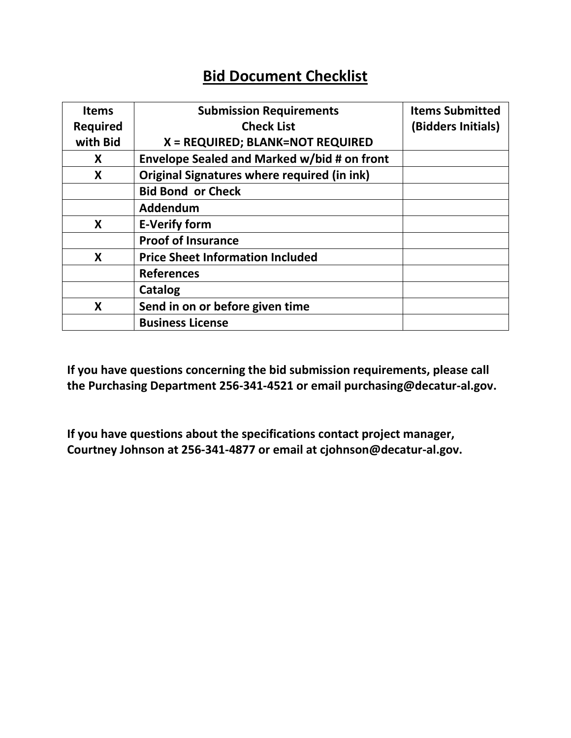# **Bid Document Checklist**

| <b>Items</b>    | <b>Submission Requirements</b>              | <b>Items Submitted</b> |
|-----------------|---------------------------------------------|------------------------|
| <b>Required</b> | <b>Check List</b>                           | (Bidders Initials)     |
| with Bid        | X = REQUIRED; BLANK=NOT REQUIRED            |                        |
| X               | Envelope Sealed and Marked w/bid # on front |                        |
| X               | Original Signatures where required (in ink) |                        |
|                 | <b>Bid Bond or Check</b>                    |                        |
|                 | Addendum                                    |                        |
| X               | <b>E-Verify form</b>                        |                        |
|                 | <b>Proof of Insurance</b>                   |                        |
| X               | <b>Price Sheet Information Included</b>     |                        |
|                 | <b>References</b>                           |                        |
|                 | Catalog                                     |                        |
| X               | Send in on or before given time             |                        |
|                 | <b>Business License</b>                     |                        |

**If you have questions concerning the bid submission requirements, please call the Purchasing Department 256-341-4521 or email purchasing@decatur-al.gov.**

**If you have questions about the specifications contact project manager, Courtney Johnson at 256-341-4877 or email at cjohnson@decatur-al.gov.**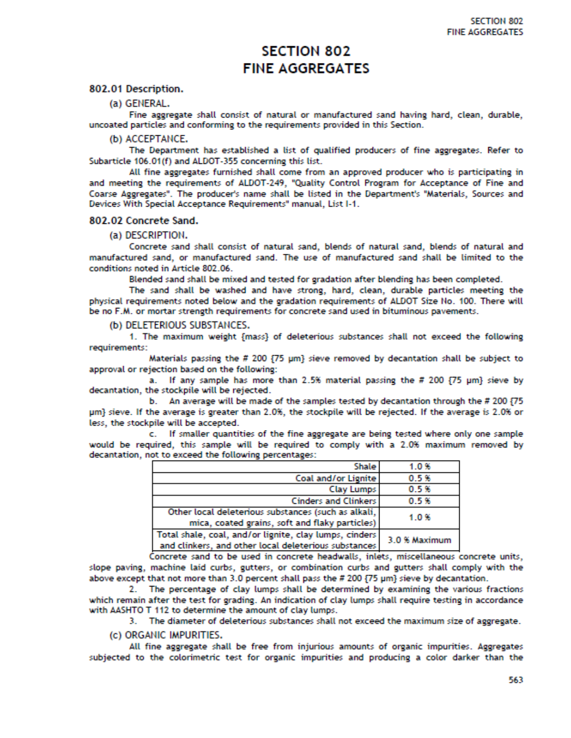## **SECTION 802 FINE AGGREGATES**

802.01 Description.

(a) GENERAL.

Fine aggregate shall consist of natural or manufactured sand having hard, clean, durable, uncoated particles and conforming to the requirements provided in this Section.

(b) ACCEPTANCE.

The Department has established a list of qualified producers of fine aggregates. Refer to Subarticle 106.01(f) and ALDOT-355 concerning this list.

All fine aggregates furnished shall come from an approved producer who is participating in and meeting the requirements of ALDOT-249, "Quality Control Program for Acceptance of Fine and Coarse Aggregates". The producer's name shall be listed in the Department's "Materials, Sources and Devices With Special Acceptance Requirements" manual, List I-1.

#### 802.02 Concrete Sand.

#### (a) DESCRIPTION.

Concrete sand shall consist of natural sand, blends of natural sand, blends of natural and manufactured sand, or manufactured sand. The use of manufactured sand shall be limited to the conditions noted in Article 802.06.

Blended sand shall be mixed and tested for gradation after blending has been completed.

The sand shall be washed and have strong, hard, clean, durable particles meeting the physical requirements noted below and the gradation requirements of ALDOT Size No. 100. There will be no F.M. or mortar strength requirements for concrete sand used in bituminous pavements.

(b) DELETERIOUS SUBSTANCES.

1. The maximum weight {mass} of deleterious substances shall not exceed the following requirements:

Materials passing the # 200 {75 µm} sieve removed by decantation shall be subject to approval or rejection based on the following:

a. If any sample has more than 2.5% material passing the # 200 {75 µm} sieve by decantation, the stockpile will be rejected.

b. An average will be made of the samples tested by decantation through the # 200 {75 um} sieve. If the average is greater than 2.0%, the stockpile will be rejected. If the average is 2.0% or less, the stockpile will be accepted.

c. If smaller quantities of the fine aggregate are being tested where only one sample would be required, this sample will be required to comply with a 2.0% maximum removed by decantation, not to exceed the following percentages:

| <b>Shale</b>                                           | 1.0%          |
|--------------------------------------------------------|---------------|
| Coal and/or Lignite                                    | 0.5%          |
| Clay Lumps                                             | 0.5%          |
| <b>Cinders and Clinkers</b>                            | 0.5%          |
| Other local deleterious substances (such as alkali,    | 1.0%          |
| mica, coated grains, soft and flaky particles)         |               |
| Total shale, coal, and/or lignite, clay lumps, cinders | 3.0 % Maximum |
| and clinkers, and other local deleterious substances   |               |
|                                                        |               |

Concrete sand to be used in concrete headwalls, inlets, miscellaneous concrete units, slope paving, machine laid curbs, gutters, or combination curbs and gutters shall comply with the above except that not more than 3.0 percent shall pass the # 200 {75 µm} sieve by decantation.

2. The percentage of clay lumps shall be determined by examining the various fractions which remain after the test for grading. An indication of clay lumps shall require testing in accordance with AASHTO T 112 to determine the amount of clay lumps.

3. The diameter of deleterious substances shall not exceed the maximum size of aggregate.

(c) ORGANIC IMPURITIES.

All fine aggregate shall be free from injurious amounts of organic impurities. Aggregates subjected to the colorimetric test for organic impurities and producing a color darker than the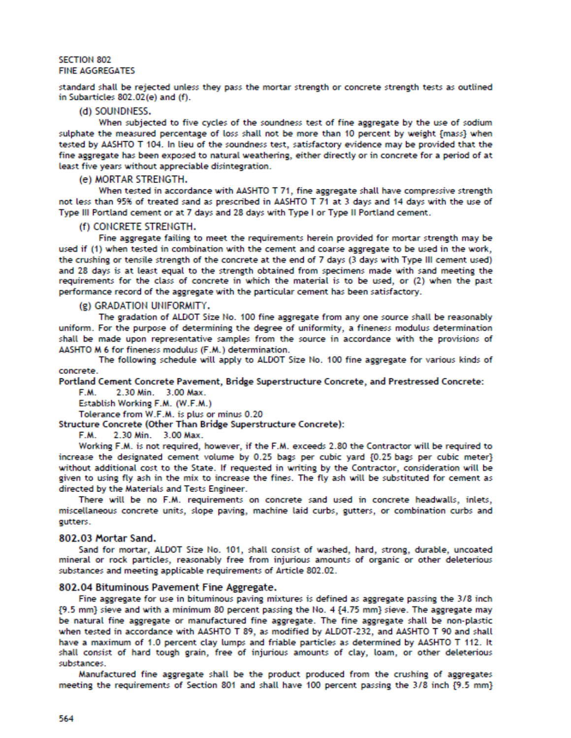#### **SECTION 802 FINE AGGREGATES**

standard shall be rejected unless they pass the mortar strength or concrete strength tests as outlined in Subarticles 802.02(e) and (f).

#### (d) SOUNDNESS.

When subjected to five cycles of the soundness test of fine aggregate by the use of sodium sulphate the measured percentage of loss shall not be more than 10 percent by weight {mass} when tested by AASHTO T 104. In lieu of the soundness test, satisfactory evidence may be provided that the fine aggregate has been exposed to natural weathering, either directly or in concrete for a period of at least five years without appreciable disintegration.

#### (e) MORTAR STRENGTH.

When tested in accordance with AASHTO T 71, fine aggregate shall have compressive strength not less than 95% of treated sand as prescribed in AASHTO T 71 at 3 days and 14 days with the use of Type III Portland cement or at 7 days and 28 days with Type I or Type II Portland cement.

#### (f) CONCRETE STRENGTH.

Fine aggregate failing to meet the requirements herein provided for mortar strength may be used if (1) when tested in combination with the cement and coarse aggregate to be used in the work, the crushing or tensile strength of the concrete at the end of 7 days (3 days with Type III cement used) and 28 days is at least equal to the strength obtained from specimens made with sand meeting the requirements for the class of concrete in which the material is to be used, or (2) when the past performance record of the aggregate with the particular cement has been satisfactory.

(g) GRADATION UNIFORMITY.

The gradation of ALDOT Size No. 100 fine aggregate from any one source shall be reasonably uniform. For the purpose of determining the degree of uniformity, a fineness modulus determination shall be made upon representative samples from the source in accordance with the provisions of AASHTO M 6 for fineness modulus (F.M.) determination.

The following schedule will apply to ALDOT Size No. 100 fine aggregate for various kinds of concrete.

Portland Cement Concrete Pavement, Bridge Superstructure Concrete, and Prestressed Concrete:

2.30 Min. 3.00 Max. F.M.

Establish Working F.M. (W.F.M.)

Tolerance from W.F.M. is plus or minus 0.20

Structure Concrete (Other Than Bridge Superstructure Concrete):

F.M. 2.30 Min. 3.00 Max.

Working F.M. is not required, however, if the F.M. exceeds 2.80 the Contractor will be required to increase the designated cement volume by 0.25 bags per cubic yard {0.25 bags per cubic meter} without additional cost to the State. If requested in writing by the Contractor, consideration will be given to using fly ash in the mix to increase the fines. The fly ash will be substituted for cement as directed by the Materials and Tests Engineer.

There will be no F.M. requirements on concrete sand used in concrete headwalls, inlets, miscellaneous concrete units, slope paving, machine laid curbs, gutters, or combination curbs and gutters.

#### 802.03 Mortar Sand.

Sand for mortar, ALDOT Size No. 101, shall consist of washed, hard, strong, durable, uncoated mineral or rock particles, reasonably free from injurious amounts of organic or other deleterious substances and meeting applicable requirements of Article 802.02.

#### 802.04 Bituminous Pavement Fine Aggregate.

Fine aggregate for use in bituminous paving mixtures is defined as aggregate passing the 3/8 inch {9.5 mm} sieve and with a minimum 80 percent passing the No. 4 {4.75 mm} sieve. The aggregate may be natural fine aggregate or manufactured fine aggregate. The fine aggregate shall be non-plastic when tested in accordance with AASHTO T 89, as modified by ALDOT-232, and AASHTO T 90 and shall have a maximum of 1.0 percent clay lumps and friable particles as determined by AASHTO T 112. It shall consist of hard tough grain, free of injurious amounts of clay, loam, or other deleterious substances.

Manufactured fine aggregate shall be the product produced from the crushing of aggregates meeting the requirements of Section 801 and shall have 100 percent passing the 3/8 inch {9.5 mm}